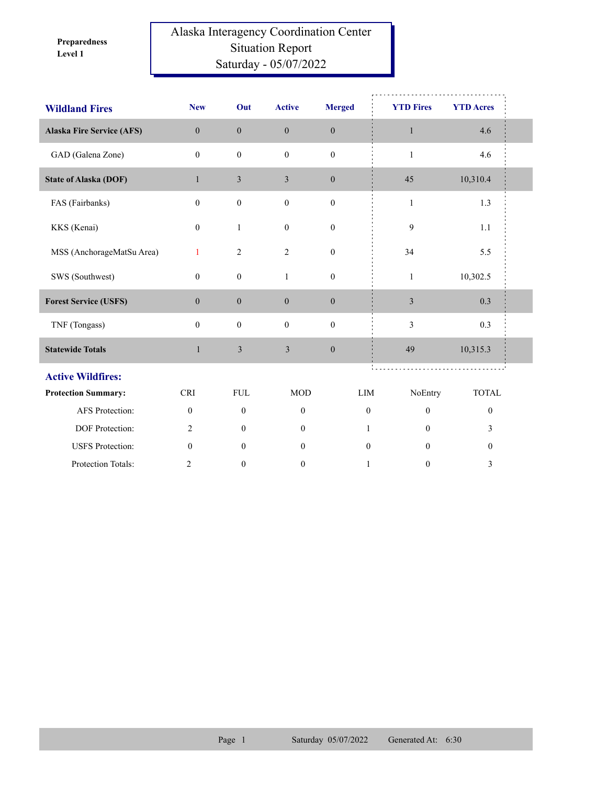**Level 1 Preparedness** 

## Alaska Interagency Coordination Center Situation Report Saturday - 05/07/2022

| <b>Wildland Fires</b>            | <b>New</b>       | Out              | <b>Active</b>    | <b>Merged</b>    | <b>YTD Fires</b> | <b>YTD Acres</b> |  |
|----------------------------------|------------------|------------------|------------------|------------------|------------------|------------------|--|
| <b>Alaska Fire Service (AFS)</b> | $\mathbf{0}$     | $\mathbf{0}$     | $\mathbf{0}$     | $\boldsymbol{0}$ | $\mathbf{1}$     | 4.6              |  |
| GAD (Galena Zone)                | $\mathbf{0}$     | $\boldsymbol{0}$ | $\mathbf{0}$     | $\boldsymbol{0}$ | $\mathbf{1}$     | 4.6              |  |
| <b>State of Alaska (DOF)</b>     | $\mathbf{1}$     | 3                | 3                | $\mathbf{0}$     | 45               | 10,310.4         |  |
| FAS (Fairbanks)                  | $\mathbf{0}$     | $\boldsymbol{0}$ | $\boldsymbol{0}$ | $\boldsymbol{0}$ | $\,1$            | 1.3              |  |
| KKS (Kenai)                      | $\mathbf{0}$     | $\mathbf{1}$     | $\mathbf{0}$     | $\mathbf{0}$     | 9                | 1.1              |  |
| MSS (AnchorageMatSu Area)        | 1                | $\sqrt{2}$       | $\overline{2}$   | $\boldsymbol{0}$ | 34               | 5.5              |  |
| SWS (Southwest)                  | $\mathbf{0}$     | $\boldsymbol{0}$ | $\mathbf{1}$     | $\boldsymbol{0}$ | $\mathbf{1}$     | 10,302.5         |  |
| <b>Forest Service (USFS)</b>     | $\boldsymbol{0}$ | $\boldsymbol{0}$ | $\mathbf{0}$     | $\boldsymbol{0}$ | 3                | 0.3              |  |
| TNF (Tongass)                    | $\mathbf{0}$     | $\boldsymbol{0}$ | $\mathbf{0}$     | $\mathbf{0}$     | 3                | 0.3              |  |
| <b>Statewide Totals</b>          | $\mathbf{1}$     | 3                | 3                | $\boldsymbol{0}$ | 49               | 10,315.3         |  |
| <b>Active Wildfires:</b>         |                  |                  |                  |                  |                  |                  |  |
| <b>Protection Summary:</b>       | <b>CRI</b>       | ${\rm FUL}$      | <b>MOD</b>       | $\text{LIM}{}$   | NoEntry          | <b>TOTAL</b>     |  |
| <b>AFS</b> Protection:           | $\mathbf{0}$     | $\mathbf{0}$     | $\mathbf{0}$     | $\mathbf{0}$     | $\mathbf{0}$     | $\boldsymbol{0}$ |  |
| DOF Protection:                  | $\overline{2}$   | $\mathbf{0}$     | $\boldsymbol{0}$ | 1                | $\mathbf{0}$     | 3                |  |
| <b>USFS</b> Protection:          | $\mathbf{0}$     | $\mathbf{0}$     | $\mathbf{0}$     | $\mathbf{0}$     | $\Omega$         | $\boldsymbol{0}$ |  |
| Protection Totals:               | $\overline{2}$   | $\boldsymbol{0}$ | $\boldsymbol{0}$ | 1                | $\boldsymbol{0}$ | 3                |  |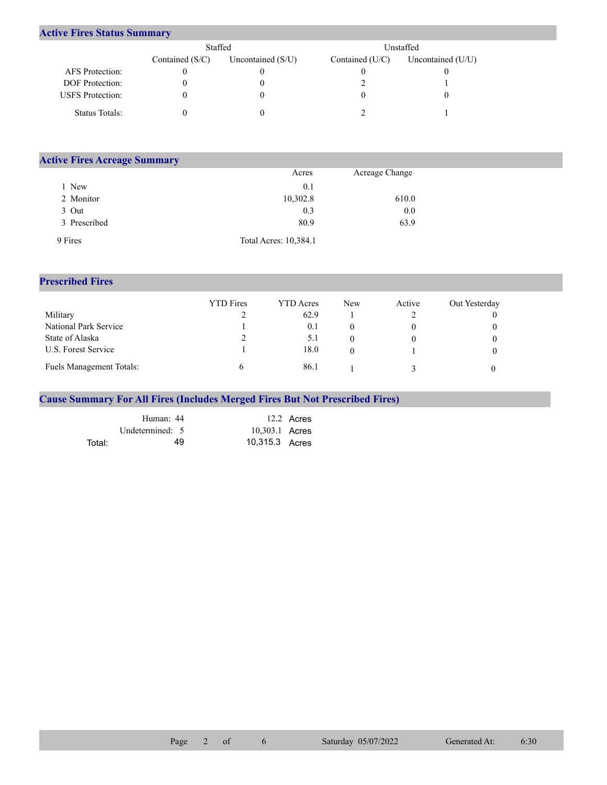## **Active Fires Status Summary**

|                         | Staffed           |                     | Unstaffed         |                     |  |  |
|-------------------------|-------------------|---------------------|-------------------|---------------------|--|--|
|                         | Contained $(S/C)$ | Uncontained $(S/U)$ | Contained $(U/C)$ | Uncontained $(U/U)$ |  |  |
| AFS Protection:         |                   |                     |                   |                     |  |  |
| <b>DOF</b> Protection:  |                   |                     |                   |                     |  |  |
| <b>USFS</b> Protection: |                   |                     |                   |                     |  |  |
| Status Totals:          |                   |                     |                   |                     |  |  |

| <b>Active Fires Acreage Summary</b> |                       |                |  |  |  |  |  |
|-------------------------------------|-----------------------|----------------|--|--|--|--|--|
|                                     | Acres                 | Acreage Change |  |  |  |  |  |
| New                                 | 0.1                   |                |  |  |  |  |  |
| 2 Monitor                           | 10,302.8              | 610.0          |  |  |  |  |  |
| 3 Out                               | 0.3                   | 0.0            |  |  |  |  |  |
| 3 Prescribed                        | 80.9                  | 63.9           |  |  |  |  |  |
| 9 Fires                             | Total Acres: 10,384.1 |                |  |  |  |  |  |

## **Prescribed Fires**

|                                 | <b>YTD</b> Fires | <b>YTD</b> Acres | New | Active | Out Yesterday |
|---------------------------------|------------------|------------------|-----|--------|---------------|
| Military                        |                  | 62.9             |     |        |               |
| National Park Service           |                  | 0.1              |     |        |               |
| State of Alaska                 |                  | 5.1              |     |        |               |
| U.S. Forest Service             |                  | 18.0             |     |        |               |
| <b>Fuels Management Totals:</b> |                  | 86.1             |     |        |               |

## **Cause Summary For All Fires (Includes Merged Fires But Not Prescribed Fires)**

|        | Human: 44       | 12.2 Acres     |
|--------|-----------------|----------------|
|        | Undetermined: 5 | 10,303.1 Acres |
| Total: | 49              | 10,315.3 Acres |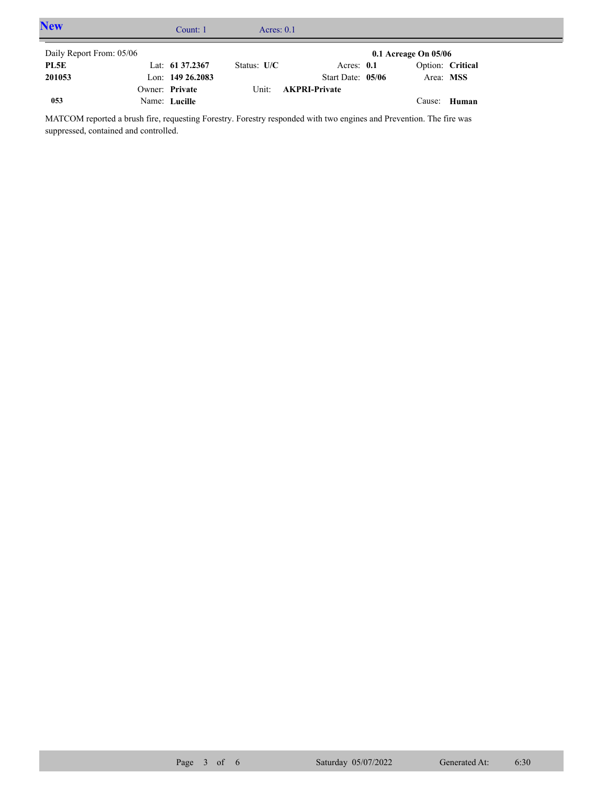| <b>New</b>               | Count: 1            | Acres: $0.1$  |                      |                          |                  |  |
|--------------------------|---------------------|---------------|----------------------|--------------------------|------------------|--|
| Daily Report From: 05/06 |                     |               |                      | $0.1$ Acreage On $05/06$ |                  |  |
| PL5E                     | Lat: 61 37.2367     | Status: $U/C$ | Acres: $0.1$         |                          | Option: Critical |  |
| 201053                   | Lon: $149\,26.2083$ |               | Start Date: $05/06$  | Area: MSS                |                  |  |
|                          | Owner: Private      | Unit:         | <b>AKPRI-Private</b> |                          |                  |  |
| 053                      | Name: Lucille       |               |                      |                          | Cause: Human     |  |

MATCOM reported a brush fire, requesting Forestry. Forestry responded with two engines and Prevention. The fire was suppressed, contained and controlled.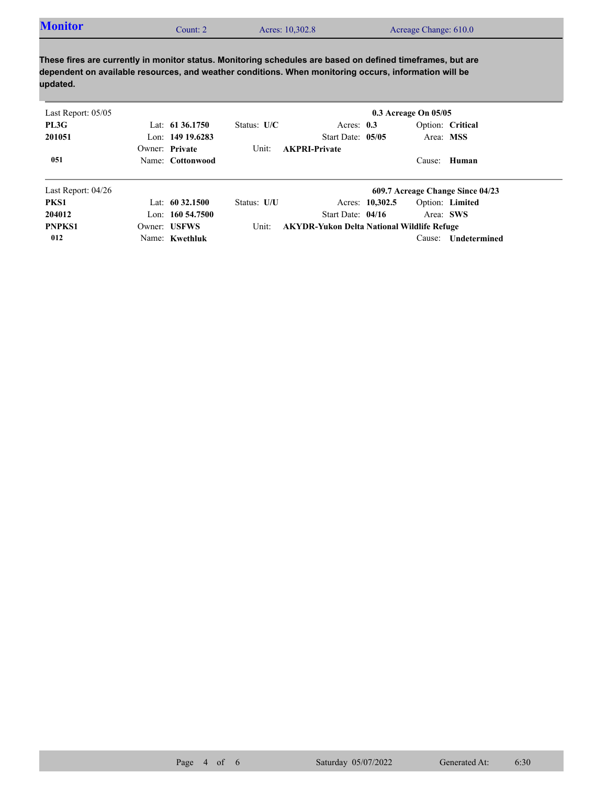| <b>Monitor</b><br>Count: 2 | Acres: 10,302.8 | Acreage Change: 610.0 |  |
|----------------------------|-----------------|-----------------------|--|
|----------------------------|-----------------|-----------------------|--|

**These fires are currently in monitor status. Monitoring schedules are based on defined timeframes, but are dependent on available resources, and weather conditions. When monitoring occurs, information will be updated.**

| Last Report: $05/05$ |                    |               |                                                   |                 | 0.3 Acreage On 05/05 |                                  |
|----------------------|--------------------|---------------|---------------------------------------------------|-----------------|----------------------|----------------------------------|
| PL3G                 | Lat: $61\,36.1750$ | Status: $U/C$ | Acres: $0.3$                                      |                 |                      | Option: Critical                 |
| 201051               | Lon: 149 19.6283   |               | Start Date: 05/05                                 |                 |                      | Area: MSS                        |
|                      | Owner: Private     | Unit:         | <b>AKPRI-Private</b>                              |                 |                      |                                  |
| 051                  | Name: Cottonwood   |               |                                                   |                 |                      | Cause: Human                     |
| Last Report: $04/26$ |                    |               |                                                   |                 |                      | 609.7 Acreage Change Since 04/23 |
| PKS1                 | Lat: $60\,32.1500$ | Status: U/U   |                                                   | Acres: 10,302.5 |                      | Option: Limited                  |
| 204012               | Lon: $16054.7500$  |               | Start Date: 04/16                                 |                 |                      | Area: SWS                        |
| <b>PNPKS1</b>        | Owner: USFWS       | Unit:         | <b>AKYDR-Yukon Delta National Wildlife Refuge</b> |                 |                      |                                  |
| 012                  | Name: Kwethluk     |               |                                                   |                 | Cause:               | Undetermined                     |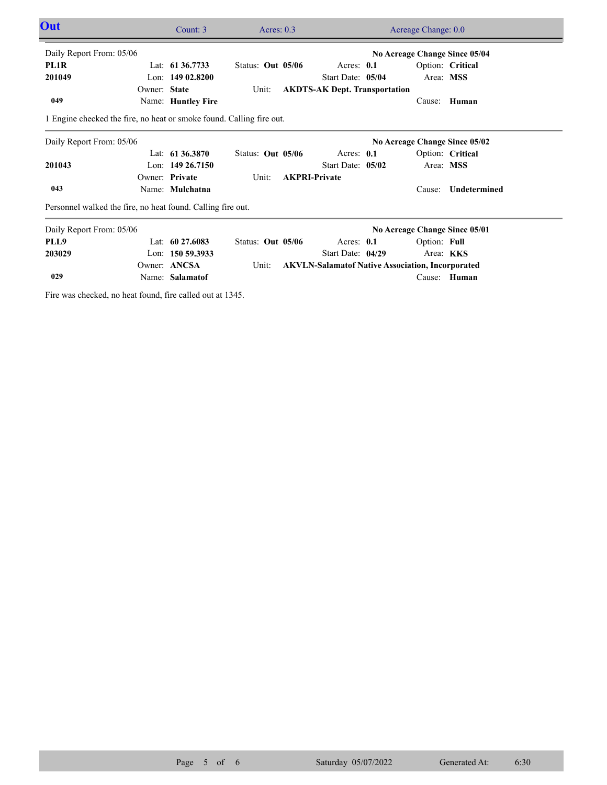| Out                                                                  |              | Count: 3           | Acres: $0.3$      |                                                         |  |                               | Acreage Change: 0.0 |  |
|----------------------------------------------------------------------|--------------|--------------------|-------------------|---------------------------------------------------------|--|-------------------------------|---------------------|--|
| Daily Report From: 05/06                                             |              |                    |                   |                                                         |  | No Acreage Change Since 05/04 |                     |  |
| PL1R                                                                 |              | Lat: 61 36,7733    | Status: Out 05/06 | Acres: 0.1                                              |  |                               | Option: Critical    |  |
| 201049                                                               |              | Lon: $14902.8200$  |                   | Start Date: 05/04                                       |  | Area: MSS                     |                     |  |
|                                                                      | Owner: State |                    | Unit:             | <b>AKDTS-AK Dept. Transportation</b>                    |  |                               |                     |  |
| 049                                                                  |              | Name: Huntley Fire |                   |                                                         |  | Cause:                        | Human               |  |
| 1 Engine checked the fire, no heat or smoke found. Calling fire out. |              |                    |                   |                                                         |  |                               |                     |  |
| Daily Report From: 05/06                                             |              |                    |                   |                                                         |  | No Acreage Change Since 05/02 |                     |  |
|                                                                      |              | Lat: $61\,36.3870$ | Status: Out 05/06 | Acres: 0.1                                              |  |                               | Option: Critical    |  |
| 201043                                                               |              | Lon: $14926.7150$  |                   | Start Date: 05/02                                       |  | Area: MSS                     |                     |  |
|                                                                      |              | Owner: Private     | Unit:             | <b>AKPRI-Private</b>                                    |  |                               |                     |  |
| 043                                                                  |              | Name: Mulchatna    |                   |                                                         |  | Cause:                        | Undetermined        |  |
| Personnel walked the fire, no heat found. Calling fire out.          |              |                    |                   |                                                         |  |                               |                     |  |
| Daily Report From: 05/06                                             |              |                    |                   |                                                         |  | No Acreage Change Since 05/01 |                     |  |
| PLL9                                                                 |              | Lat: $6027.6083$   | Status: Out 05/06 | Acres: $0.1$                                            |  | Option: Full                  |                     |  |
| 203029                                                               |              | Lon: 150 59.3933   |                   | Start Date: 04/29                                       |  | Area: <b>KKS</b>              |                     |  |
|                                                                      |              | Owner: ANCSA       | Unit:             | <b>AKVLN-Salamatof Native Association, Incorporated</b> |  |                               |                     |  |
| 029                                                                  |              | Name: Salamatof    |                   |                                                         |  | Cause:                        | Human               |  |
|                                                                      |              |                    |                   |                                                         |  |                               |                     |  |

Fire was checked, no heat found, fire called out at 1345.